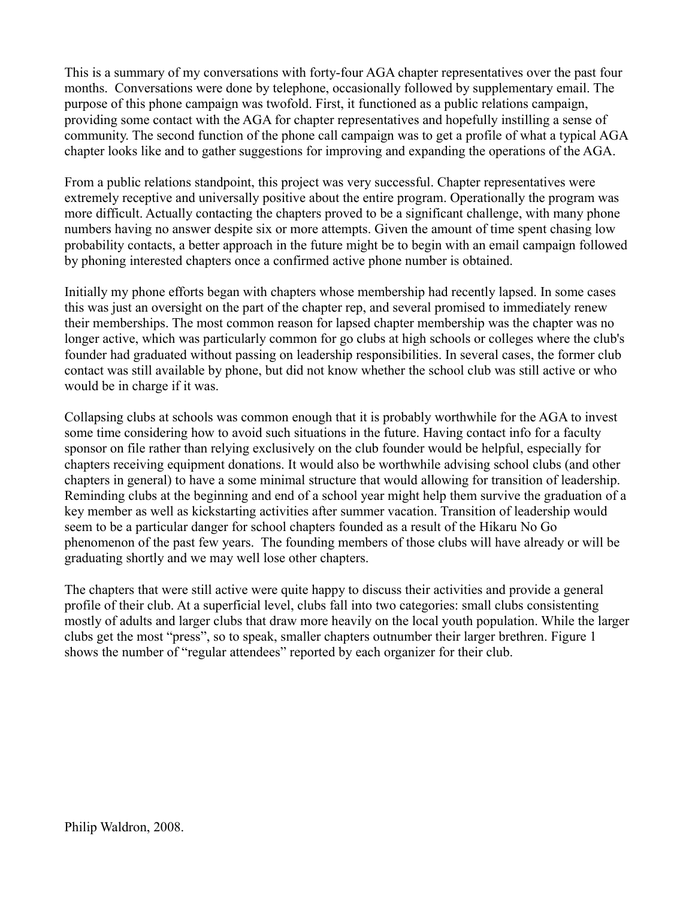This is a summary of my conversations with forty-four AGA chapter representatives over the past four months. Conversations were done by telephone, occasionally followed by supplementary email. The purpose of this phone campaign was twofold. First, it functioned as a public relations campaign, providing some contact with the AGA for chapter representatives and hopefully instilling a sense of community. The second function of the phone call campaign was to get a profile of what a typical AGA chapter looks like and to gather suggestions for improving and expanding the operations of the AGA.

From a public relations standpoint, this project was very successful. Chapter representatives were extremely receptive and universally positive about the entire program. Operationally the program was more difficult. Actually contacting the chapters proved to be a significant challenge, with many phone numbers having no answer despite six or more attempts. Given the amount of time spent chasing low probability contacts, a better approach in the future might be to begin with an email campaign followed by phoning interested chapters once a confirmed active phone number is obtained.

Initially my phone efforts began with chapters whose membership had recently lapsed. In some cases this was just an oversight on the part of the chapter rep, and several promised to immediately renew their memberships. The most common reason for lapsed chapter membership was the chapter was no longer active, which was particularly common for go clubs at high schools or colleges where the club's founder had graduated without passing on leadership responsibilities. In several cases, the former club contact was still available by phone, but did not know whether the school club was still active or who would be in charge if it was.

Collapsing clubs at schools was common enough that it is probably worthwhile for the AGA to invest some time considering how to avoid such situations in the future. Having contact info for a faculty sponsor on file rather than relying exclusively on the club founder would be helpful, especially for chapters receiving equipment donations. It would also be worthwhile advising school clubs (and other chapters in general) to have a some minimal structure that would allowing for transition of leadership. Reminding clubs at the beginning and end of a school year might help them survive the graduation of a key member as well as kickstarting activities after summer vacation. Transition of leadership would seem to be a particular danger for school chapters founded as a result of the Hikaru No Go phenomenon of the past few years. The founding members of those clubs will have already or will be graduating shortly and we may well lose other chapters.

The chapters that were still active were quite happy to discuss their activities and provide a general profile of their club. At a superficial level, clubs fall into two categories: small clubs consistenting mostly of adults and larger clubs that draw more heavily on the local youth population. While the larger clubs get the most "press", so to speak, smaller chapters outnumber their larger brethren. Figure 1 shows the number of "regular attendees" reported by each organizer for their club.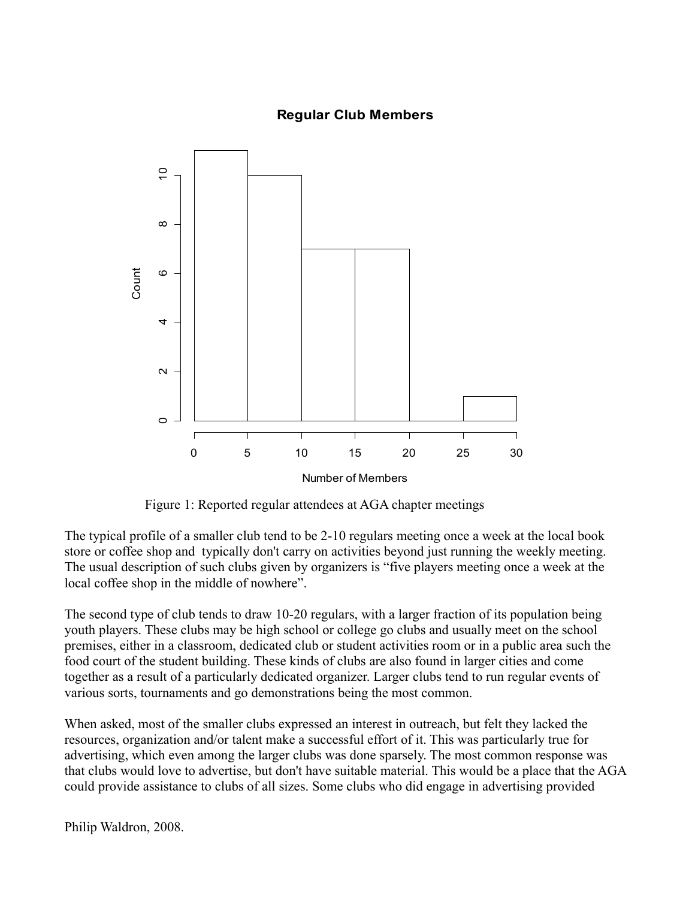# **Regular Club Members**



Figure 1: Reported regular attendees at AGA chapter meetings

The typical profile of a smaller club tend to be 2-10 regulars meeting once a week at the local book store or coffee shop and typically don't carry on activities beyond just running the weekly meeting. The usual description of such clubs given by organizers is "five players meeting once a week at the local coffee shop in the middle of nowhere".

The second type of club tends to draw 10-20 regulars, with a larger fraction of its population being youth players. These clubs may be high school or college go clubs and usually meet on the school premises, either in a classroom, dedicated club or student activities room or in a public area such the food court of the student building. These kinds of clubs are also found in larger cities and come together as a result of a particularly dedicated organizer. Larger clubs tend to run regular events of various sorts, tournaments and go demonstrations being the most common.

When asked, most of the smaller clubs expressed an interest in outreach, but felt they lacked the resources, organization and/or talent make a successful effort of it. This was particularly true for advertising, which even among the larger clubs was done sparsely. The most common response was that clubs would love to advertise, but don't have suitable material. This would be a place that the AGA could provide assistance to clubs of all sizes. Some clubs who did engage in advertising provided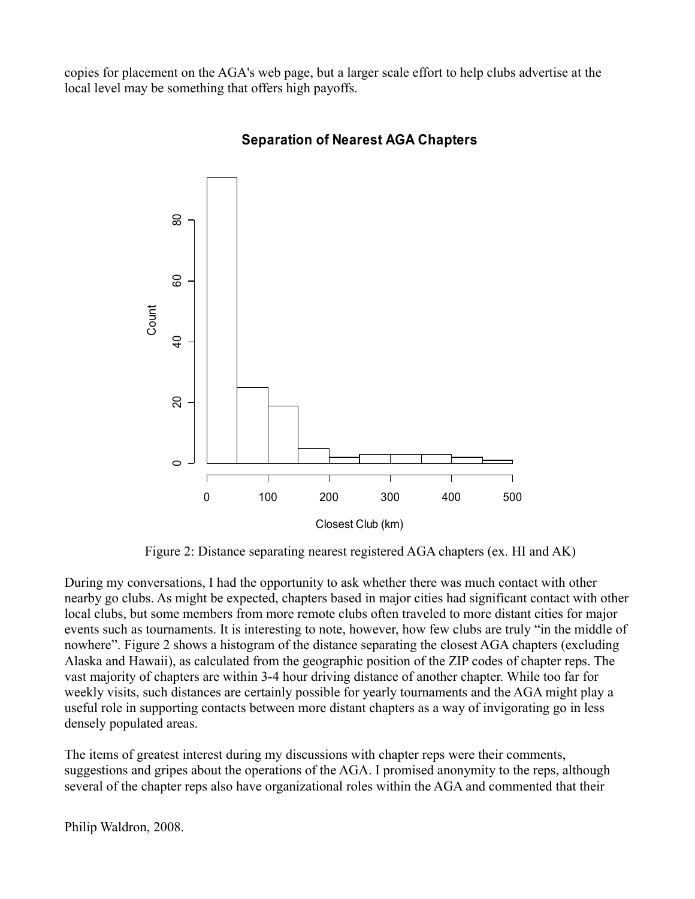copies for placement on the AGA's web page, but a larger scale effort to help clubs advertise at the local level may be something that offers high payoffs.



# **Separation of Nearest AGA Chapters**

Figure 2: Distance separating nearest registered AGA chapters (ex. HI and AK)

During my conversations, I had the opportunity to ask whether there was much contact with other nearby go clubs. As might be expected, chapters based in major cities had significant contact with other local clubs, but some members from more remote clubs often traveled to more distant cities for major events such as tournaments. It is interesting to note, however, how few clubs are truly "in the middle of nowhere". Figure 2 shows a histogram of the distance separating the closest AGA chapters (excluding Alaska and Hawaii), as calculated from the geographic position of the ZIP codes of chapter reps. The vast majority of chapters are within 3-4 hour driving distance of another chapter. While too far for weekly visits, such distances are certainly possible for yearly tournaments and the AGA might play a useful role in supporting contacts between more distant chapters as a way of invigorating go in less densely populated areas.

The items of greatest interest during my discussions with chapter reps were their comments, suggestions and gripes about the operations of the AGA. I promised anonymity to the reps, although several of the chapter reps also have organizational roles within the AGA and commented that their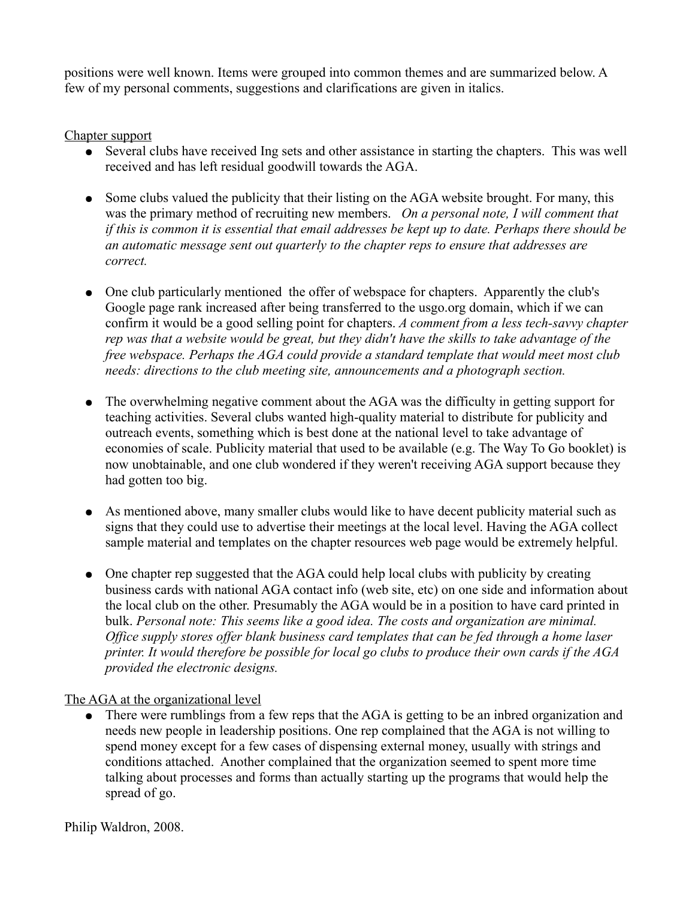positions were well known. Items were grouped into common themes and are summarized below. A few of my personal comments, suggestions and clarifications are given in italics.

Chapter support

- Several clubs have received Ing sets and other assistance in starting the chapters. This was well received and has left residual goodwill towards the AGA.
- Some clubs valued the publicity that their listing on the AGA website brought. For many, this was the primary method of recruiting new members. *On a personal note, I will comment that if this is common it is essential that email addresses be kept up to date. Perhaps there should be an automatic message sent out quarterly to the chapter reps to ensure that addresses are correct.*
- One club particularly mentioned the offer of webspace for chapters. Apparently the club's Google page rank increased after being transferred to the usgo.org domain, which if we can confirm it would be a good selling point for chapters. *A comment from a less tech-savvy chapter rep was that a website would be great, but they didn't have the skills to take advantage of the free webspace. Perhaps the AGA could provide a standard template that would meet most club needs: directions to the club meeting site, announcements and a photograph section.*
- The overwhelming negative comment about the AGA was the difficulty in getting support for teaching activities. Several clubs wanted high-quality material to distribute for publicity and outreach events, something which is best done at the national level to take advantage of economies of scale. Publicity material that used to be available (e.g. The Way To Go booklet) is now unobtainable, and one club wondered if they weren't receiving AGA support because they had gotten too big.
- As mentioned above, many smaller clubs would like to have decent publicity material such as signs that they could use to advertise their meetings at the local level. Having the AGA collect sample material and templates on the chapter resources web page would be extremely helpful.
- One chapter rep suggested that the AGA could help local clubs with publicity by creating business cards with national AGA contact info (web site, etc) on one side and information about the local club on the other. Presumably the AGA would be in a position to have card printed in bulk. *Personal note: This seems like a good idea. The costs and organization are minimal. Office supply stores offer blank business card templates that can be fed through a home laser printer. It would therefore be possible for local go clubs to produce their own cards if the AGA provided the electronic designs.*

The AGA at the organizational level

• There were rumblings from a few reps that the AGA is getting to be an inbred organization and needs new people in leadership positions. One rep complained that the AGA is not willing to spend money except for a few cases of dispensing external money, usually with strings and conditions attached. Another complained that the organization seemed to spent more time talking about processes and forms than actually starting up the programs that would help the spread of go.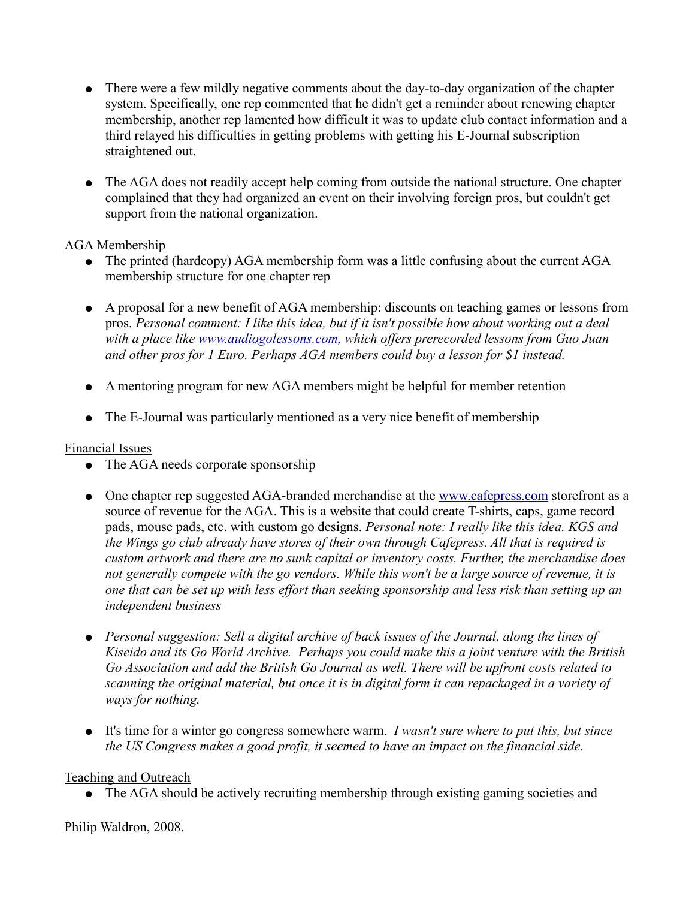- There were a few mildly negative comments about the day-to-day organization of the chapter system. Specifically, one rep commented that he didn't get a reminder about renewing chapter membership, another rep lamented how difficult it was to update club contact information and a third relayed his difficulties in getting problems with getting his E-Journal subscription straightened out.
- The AGA does not readily accept help coming from outside the national structure. One chapter complained that they had organized an event on their involving foreign pros, but couldn't get support from the national organization.

### AGA Membership

- The printed (hardcopy) AGA membership form was a little confusing about the current AGA membership structure for one chapter rep
- A proposal for a new benefit of AGA membership: discounts on teaching games or lessons from pros. *Personal comment: I like this idea, but if it isn't possible how about working out a deal with a place like [www.audiogolessons.com,](http://www.audiogolessons.com/) which offers prerecorded lessons from Guo Juan and other pros for 1 Euro. Perhaps AGA members could buy a lesson for \$1 instead.*
- A mentoring program for new AGA members might be helpful for member retention
- The E-Journal was particularly mentioned as a very nice benefit of membership

### Financial Issues

- The AGA needs corporate sponsorship
- One chapter rep suggested AGA-branded merchandise at the [www.cafepress.com](http://www.cafepress.com/) storefront as a source of revenue for the AGA. This is a website that could create T-shirts, caps, game record pads, mouse pads, etc. with custom go designs. *Personal note: I really like this idea. KGS and the Wings go club already have stores of their own through Cafepress. All that is required is custom artwork and there are no sunk capital or inventory costs. Further, the merchandise does not generally compete with the go vendors. While this won't be a large source of revenue, it is one that can be set up with less effort than seeking sponsorship and less risk than setting up an independent business*
- *Personal suggestion: Sell a digital archive of back issues of the Journal, along the lines of Kiseido and its Go World Archive. Perhaps you could make this a joint venture with the British Go Association and add the British Go Journal as well. There will be upfront costs related to scanning the original material, but once it is in digital form it can repackaged in a variety of ways for nothing.*
- It's time for a winter go congress somewhere warm. *I wasn't sure where to put this, but since the US Congress makes a good profit, it seemed to have an impact on the financial side.*

### Teaching and Outreach

• The AGA should be actively recruiting membership through existing gaming societies and